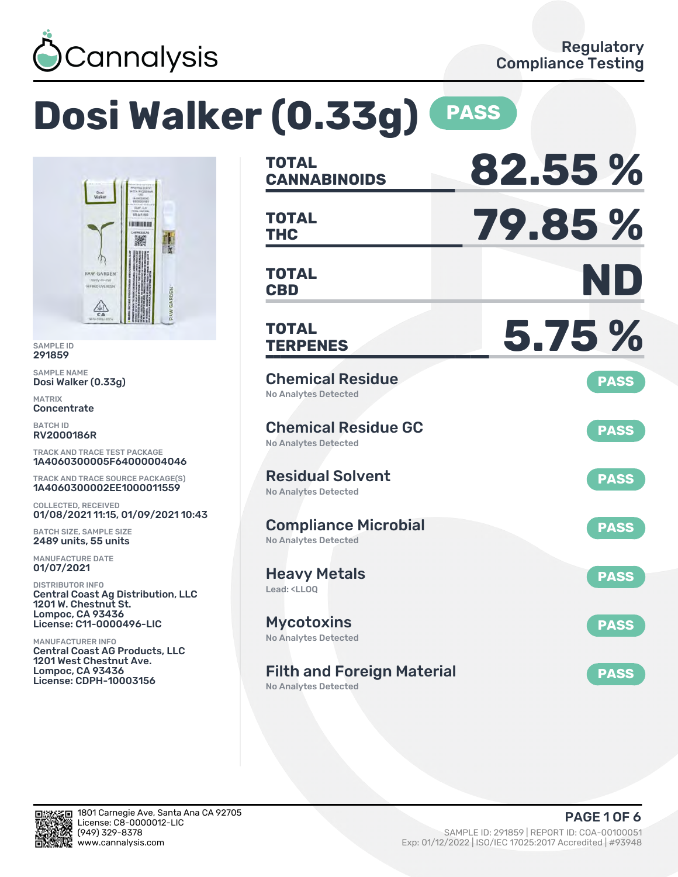

# **Dosi Walker (0.33g) PASS**



SAMPLE ID 291859

SAMPLE NAME Dosi Walker (0.33g)

MATRIX **Concentrate** 

BATCH ID RV2000186R

TRACK AND TRACE TEST PACKAGE 1A4060300005F64000004046

TRACK AND TRACE SOURCE PACKAGE(S) 1A4060300002EE1000011559

COLLECTED, RECEIVED 01/08/2021 11:15, 01/09/2021 10:43

BATCH SIZE, SAMPLE SIZE 2489 units, 55 units

MANUFACTURE DATE 01/07/2021

DISTRIBUTOR INFO Central Coast Ag Distribution, LLC 1201 W. Chestnut St. Lompoc, CA 93436 License: C11-0000496-LIC

MANUFACTURER INFO Central Coast AG Products, LLC 1201 West Chestnut Ave. Lompoc, CA 93436 License: CDPH-10003156

| <b>TOTAL</b><br><b>CANNABINOIDS</b>                                    | 82.55%      |
|------------------------------------------------------------------------|-------------|
| <b>TOTAL</b><br>THC                                                    | 79.85%      |
| <b>TOTAL</b><br><b>CBD</b>                                             | ND          |
| <b>TOTAL</b><br><b>TERPENES</b>                                        | 5.75 %      |
| <b>Chemical Residue</b><br><b>No Analytes Detected</b>                 | <b>PASS</b> |
| <b>Chemical Residue GC</b><br><b>No Analytes Detected</b>              | <b>PASS</b> |
| <b>Residual Solvent</b><br><b>No Analytes Detected</b>                 | <b>PASS</b> |
| <b>Compliance Microbial</b><br><b>No Analytes Detected</b>             | <b>PASS</b> |
| <b>Heavy Metals</b><br>Lead: <ll00< td=""><td><b>PASS</b></td></ll00<> | <b>PASS</b> |
| <b>Mycotoxins</b><br><b>No Analytes Detected</b>                       | <b>PASS</b> |
| <b>Filth and Foreign Material</b><br>No Analytes Detected              | <b>PASS</b> |

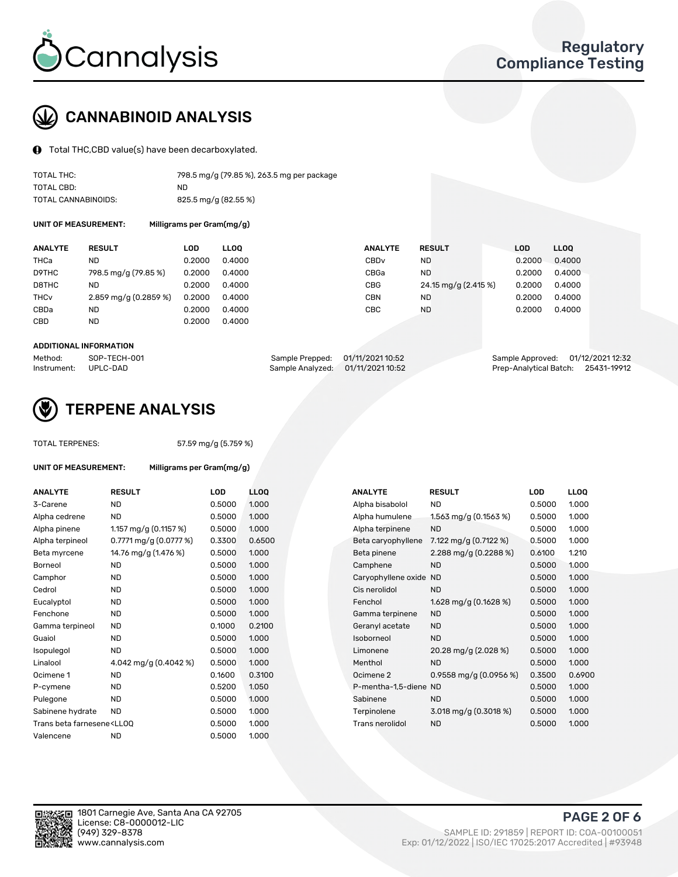

## CANNABINOID ANALYSIS

Total THC,CBD value(s) have been decarboxylated.

| TOTAL THC:          | 798.5 mg/g (79.85 %), 263.5 mg per package |
|---------------------|--------------------------------------------|
| TOTAL CBD:          | ND.                                        |
| TOTAL CANNABINOIDS: | 825.5 mg/g (82.55 %)                       |

UNIT OF MEASUREMENT: Milligrams per Gram(mg/g)

| <b>ANALYTE</b>         | <b>RESULT</b>           | LOD    | <b>LLOO</b> | <b>ANALYTE</b>   | <b>RESULT</b>        | LOD    | LL <sub>00</sub> |
|------------------------|-------------------------|--------|-------------|------------------|----------------------|--------|------------------|
| THCa                   | ND                      | 0.2000 | 0.4000      | CBD <sub>v</sub> | <b>ND</b>            | 0.2000 | 0.4000           |
| D9THC                  | 798.5 mg/g (79.85 %)    | 0.2000 | 0.4000      | CBGa             | <b>ND</b>            | 0.2000 | 0.4000           |
| D8THC                  | ND                      | 0.2000 | 0.4000      | <b>CBG</b>       | 24.15 mg/g (2.415 %) | 0.2000 | 0.4000           |
| <b>THC<sub>v</sub></b> | $2.859$ mg/g (0.2859 %) | 0.2000 | 0.4000      | CBN              | <b>ND</b>            | 0.2000 | 0.4000           |
| CBDa                   | ND                      | 0.2000 | 0.4000      | CBC              | <b>ND</b>            | 0.2000 | 0.4000           |
| CBD                    | ND                      | 0.2000 | 0.4000      |                  |                      |        |                  |

#### ADDITIONAL INFORMATION

| Method:              | SOP-TECH-001 | Sample Prepped: 01/11/2021 10:52  | Sample Approved: 01/12/2021 12:32  |  |
|----------------------|--------------|-----------------------------------|------------------------------------|--|
| Instrument: UPLC-DAD |              | Sample Analyzed: 01/11/2021 10:52 | Prep-Analytical Batch: 25431-19912 |  |



## TERPENE ANALYSIS

TOTAL TERPENES: 57.59 mg/g (5.759 %)

| UNIT OF MEASUREMENT:                                                             |                         | Milligrams per Gram(mg/g) |             |  |  |  |  |  |
|----------------------------------------------------------------------------------|-------------------------|---------------------------|-------------|--|--|--|--|--|
| <b>ANALYTE</b>                                                                   | <b>RESULT</b>           | LOD                       | <b>LLOO</b> |  |  |  |  |  |
| 3-Carene                                                                         | <b>ND</b>               | 0.5000                    | 1.000       |  |  |  |  |  |
| Alpha cedrene                                                                    | <b>ND</b>               | 0.5000                    | 1.000       |  |  |  |  |  |
| Alpha pinene                                                                     | 1.157 mg/g $(0.1157%)$  | 0.5000                    | 1.000       |  |  |  |  |  |
| Alpha terpineol                                                                  | 0.7771 mg/g $(0.0777%)$ | 0.3300                    | 0.650       |  |  |  |  |  |
| Beta myrcene                                                                     | 14.76 mg/g (1.476 %)    | 0.5000                    | 1.000       |  |  |  |  |  |
| Borneol                                                                          | <b>ND</b>               | 0.5000                    | 1.000       |  |  |  |  |  |
| Camphor                                                                          | <b>ND</b>               | 0.5000                    | 1.000       |  |  |  |  |  |
| Cedrol                                                                           | <b>ND</b>               | 0.5000                    | 1.000       |  |  |  |  |  |
| Eucalyptol                                                                       | <b>ND</b>               | 0.5000                    | 1.000       |  |  |  |  |  |
| Fenchone                                                                         | ND                      | 0.5000                    | 1.000       |  |  |  |  |  |
| Gamma terpineol                                                                  | <b>ND</b>               | 0.1000                    | 0.210       |  |  |  |  |  |
| Guaiol                                                                           | <b>ND</b>               | 0.5000                    | 1.000       |  |  |  |  |  |
| Isopulegol                                                                       | <b>ND</b>               | 0.5000                    | 1.000       |  |  |  |  |  |
| Linalool                                                                         | 4.042 mg/g $(0.4042%)$  | 0.5000                    | 1.000       |  |  |  |  |  |
| Ocimene 1                                                                        | <b>ND</b>               | 0.1600                    | 0.310       |  |  |  |  |  |
| P-cymene                                                                         | <b>ND</b>               | 0.5200                    | 1.050       |  |  |  |  |  |
| Pulegone                                                                         | <b>ND</b>               | 0.5000                    | 1.000       |  |  |  |  |  |
| Sabinene hydrate                                                                 | ND.                     | 0.5000                    | 1.000       |  |  |  |  |  |
| Trans beta farnesene <ll00< td=""><td></td><td>0.5000</td><td>1.000</td></ll00<> |                         | 0.5000                    | 1.000       |  |  |  |  |  |
| Valencene                                                                        | <b>ND</b>               | 0.5000                    | 1.000       |  |  |  |  |  |

| <b>ANALYTE</b>                                                                                                                                          | <b>RESULT</b>             | LOD    | <b>LLOQ</b> | <b>ANALYTE</b>         | <b>RESULT</b>                           | <b>LOD</b> | <b>LLOQ</b> |
|---------------------------------------------------------------------------------------------------------------------------------------------------------|---------------------------|--------|-------------|------------------------|-----------------------------------------|------------|-------------|
| 3-Carene                                                                                                                                                | <b>ND</b>                 | 0.5000 | 1.000       | Alpha bisabolol        | <b>ND</b>                               | 0.5000     | 1.000       |
| Alpha cedrene                                                                                                                                           | <b>ND</b>                 | 0.5000 | 1.000       | Alpha humulene         | 1.563 mg/g $(0.1563\%)$                 | 0.5000     | 1.000       |
| Alpha pinene                                                                                                                                            | 1.157 mg/g $(0.1157%)$    | 0.5000 | 1.000       | Alpha terpinene        | <b>ND</b>                               | 0.5000     | 1.000       |
| Alpha terpineol                                                                                                                                         | $0.7771$ mg/g $(0.0777%)$ | 0.3300 | 0.6500      | Beta caryophyllene     | 7.122 mg/g $(0.7122 \%)$                | 0.5000     | 1.000       |
| Beta myrcene                                                                                                                                            | 14.76 mg/g (1.476 %)      | 0.5000 | 1.000       | Beta pinene            | 2.288 mg/g $(0.2288\%)$                 | 0.6100     | 1.210       |
| Borneol                                                                                                                                                 | ND                        | 0.5000 | 1.000       | Camphene               | <b>ND</b>                               | 0.5000     | 1.000       |
| Camphor                                                                                                                                                 | ND                        | 0.5000 | 1.000       | Caryophyllene oxide ND |                                         | 0.5000     | 1.000       |
| Cedrol                                                                                                                                                  | <b>ND</b>                 | 0.5000 | 1.000       | Cis nerolidol          | <b>ND</b>                               | 0.5000     | 1.000       |
| Eucalyptol                                                                                                                                              | ND                        | 0.5000 | 1.000       | Fenchol                | 1.628 mg/g $(0.1628\%)$                 | 0.5000     | 1.000       |
| Fenchone                                                                                                                                                | <b>ND</b>                 | 0.5000 | 1.000       | Gamma terpinene        | <b>ND</b>                               | 0.5000     | 1.000       |
| Gamma terpineol                                                                                                                                         | <b>ND</b>                 | 0.1000 | 0.2100      | Geranyl acetate        | <b>ND</b>                               | 0.5000     | 1.000       |
| Guaiol                                                                                                                                                  | <b>ND</b>                 | 0.5000 | 1.000       | Isoborneol             | <b>ND</b>                               | 0.5000     | 1.000       |
| Isopulegol                                                                                                                                              | <b>ND</b>                 | 0.5000 | 1.000       | Limonene               | 20.28 mg/g (2.028 %)                    | 0.5000     | 1.000       |
| Linalool                                                                                                                                                | 4.042 mg/g (0.4042 %)     | 0.5000 | 1.000       | Menthol                | <b>ND</b>                               | 0.5000     | 1.000       |
| Ocimene 1                                                                                                                                               | <b>ND</b>                 | 0.1600 | 0.3100      | Ocimene 2              | $0.9558$ mg/g $(0.0956%)$               | 0.3500     | 0.6900      |
| P-cymene                                                                                                                                                | <b>ND</b>                 | 0.5200 | 1.050       | P-mentha-1,5-diene ND  |                                         | 0.5000     | 1.000       |
| Pulegone                                                                                                                                                | <b>ND</b>                 | 0.5000 | 1.000       | Sabinene               | <b>ND</b>                               | 0.5000     | 1.000       |
| Sabinene hydrate                                                                                                                                        | <b>ND</b>                 | 0.5000 | 1.000       | Terpinolene            | $3.018 \text{ mg/g} (0.3018 \text{ %})$ | 0.5000     | 1.000       |
| Trans beta farnesene <lloq< td=""><td></td><td>0.5000</td><td>1.000</td><td>Trans nerolidol</td><td><b>ND</b></td><td>0.5000</td><td>1.000</td></lloq<> |                           | 0.5000 | 1.000       | Trans nerolidol        | <b>ND</b>                               | 0.5000     | 1.000       |
|                                                                                                                                                         |                           |        |             |                        |                                         |            |             |

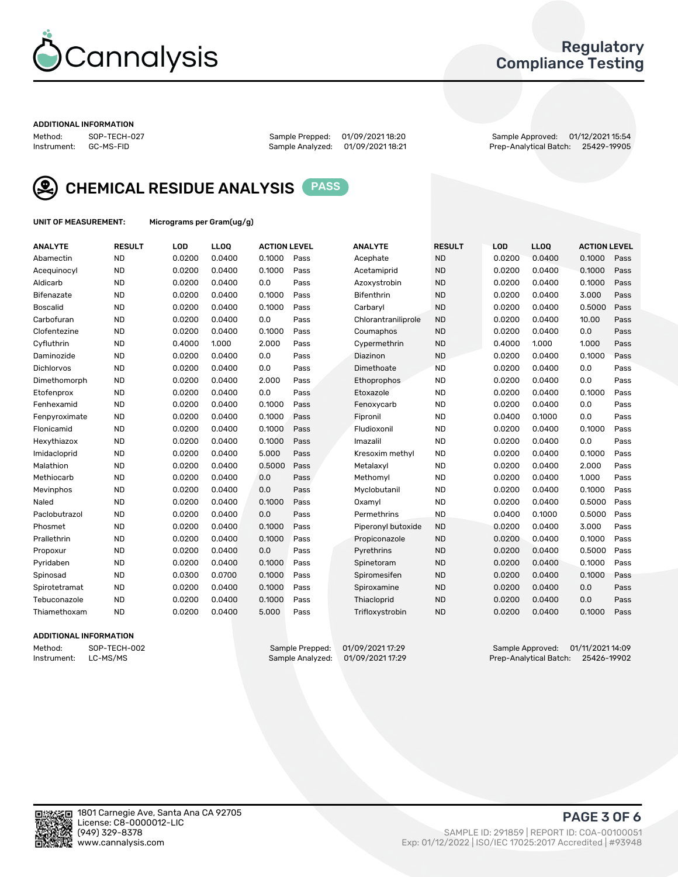

## Regulatory Compliance Testing

#### ADDITIONAL INFORMATION

Method: SOP-TECH-027 Sample Prepped: 01/09/2021 18:20 Sample Approved: 01/12/2021 15:54 Prep-Analytical Batch: 25429-19905



CHEMICAL RESIDUE ANALYSIS PASS

UNIT OF MEASUREMENT: Micrograms per Gram(ug/g)

| <b>ANALYTE</b>    | <b>RESULT</b> | LOD    | LL <sub>OO</sub> | <b>ACTION LEVEL</b> |      | <b>ANALYTE</b>      | <b>RESULT</b> | <b>LOD</b> | LL <sub>OO</sub> | <b>ACTION LEVEL</b> |      |
|-------------------|---------------|--------|------------------|---------------------|------|---------------------|---------------|------------|------------------|---------------------|------|
| Abamectin         | <b>ND</b>     | 0.0200 | 0.0400           | 0.1000              | Pass | Acephate            | <b>ND</b>     | 0.0200     | 0.0400           | 0.1000              | Pass |
| Acequinocyl       | <b>ND</b>     | 0.0200 | 0.0400           | 0.1000              | Pass | Acetamiprid         | <b>ND</b>     | 0.0200     | 0.0400           | 0.1000              | Pass |
| Aldicarb          | <b>ND</b>     | 0.0200 | 0.0400           | 0.0                 | Pass | Azoxystrobin        | <b>ND</b>     | 0.0200     | 0.0400           | 0.1000              | Pass |
| Bifenazate        | <b>ND</b>     | 0.0200 | 0.0400           | 0.1000              | Pass | <b>Bifenthrin</b>   | <b>ND</b>     | 0.0200     | 0.0400           | 3.000               | Pass |
| <b>Boscalid</b>   | <b>ND</b>     | 0.0200 | 0.0400           | 0.1000              | Pass | Carbaryl            | <b>ND</b>     | 0.0200     | 0.0400           | 0.5000              | Pass |
| Carbofuran        | <b>ND</b>     | 0.0200 | 0.0400           | 0.0                 | Pass | Chlorantraniliprole | <b>ND</b>     | 0.0200     | 0.0400           | 10.00               | Pass |
| Clofentezine      | <b>ND</b>     | 0.0200 | 0.0400           | 0.1000              | Pass | Coumaphos           | <b>ND</b>     | 0.0200     | 0.0400           | 0.0                 | Pass |
| Cyfluthrin        | <b>ND</b>     | 0.4000 | 1.000            | 2.000               | Pass | Cypermethrin        | <b>ND</b>     | 0.4000     | 1.000            | 1.000               | Pass |
| Daminozide        | <b>ND</b>     | 0.0200 | 0.0400           | 0.0                 | Pass | Diazinon            | <b>ND</b>     | 0.0200     | 0.0400           | 0.1000              | Pass |
| <b>Dichlorvos</b> | <b>ND</b>     | 0.0200 | 0.0400           | 0.0                 | Pass | Dimethoate          | <b>ND</b>     | 0.0200     | 0.0400           | 0.0                 | Pass |
| Dimethomorph      | <b>ND</b>     | 0.0200 | 0.0400           | 2.000               | Pass | Ethoprophos         | <b>ND</b>     | 0.0200     | 0.0400           | 0.0                 | Pass |
| Etofenprox        | <b>ND</b>     | 0.0200 | 0.0400           | 0.0                 | Pass | Etoxazole           | <b>ND</b>     | 0.0200     | 0.0400           | 0.1000              | Pass |
| Fenhexamid        | <b>ND</b>     | 0.0200 | 0.0400           | 0.1000              | Pass | Fenoxycarb          | <b>ND</b>     | 0.0200     | 0.0400           | 0.0                 | Pass |
| Fenpyroximate     | <b>ND</b>     | 0.0200 | 0.0400           | 0.1000              | Pass | Fipronil            | <b>ND</b>     | 0.0400     | 0.1000           | 0.0                 | Pass |
| Flonicamid        | <b>ND</b>     | 0.0200 | 0.0400           | 0.1000              | Pass | Fludioxonil         | <b>ND</b>     | 0.0200     | 0.0400           | 0.1000              | Pass |
| Hexythiazox       | <b>ND</b>     | 0.0200 | 0.0400           | 0.1000              | Pass | Imazalil            | <b>ND</b>     | 0.0200     | 0.0400           | 0.0                 | Pass |
| Imidacloprid      | <b>ND</b>     | 0.0200 | 0.0400           | 5.000               | Pass | Kresoxim methyl     | <b>ND</b>     | 0.0200     | 0.0400           | 0.1000              | Pass |
| Malathion         | <b>ND</b>     | 0.0200 | 0.0400           | 0.5000              | Pass | Metalaxyl           | <b>ND</b>     | 0.0200     | 0.0400           | 2.000               | Pass |
| Methiocarb        | <b>ND</b>     | 0.0200 | 0.0400           | 0.0                 | Pass | Methomyl            | <b>ND</b>     | 0.0200     | 0.0400           | 1.000               | Pass |
| Mevinphos         | <b>ND</b>     | 0.0200 | 0.0400           | 0.0                 | Pass | Myclobutanil        | <b>ND</b>     | 0.0200     | 0.0400           | 0.1000              | Pass |
| Naled             | <b>ND</b>     | 0.0200 | 0.0400           | 0.1000              | Pass | Oxamyl              | <b>ND</b>     | 0.0200     | 0.0400           | 0.5000              | Pass |
| Paclobutrazol     | <b>ND</b>     | 0.0200 | 0.0400           | 0.0                 | Pass | Permethrins         | <b>ND</b>     | 0.0400     | 0.1000           | 0.5000              | Pass |
| Phosmet           | <b>ND</b>     | 0.0200 | 0.0400           | 0.1000              | Pass | Piperonyl butoxide  | <b>ND</b>     | 0.0200     | 0.0400           | 3.000               | Pass |
| Prallethrin       | <b>ND</b>     | 0.0200 | 0.0400           | 0.1000              | Pass | Propiconazole       | <b>ND</b>     | 0.0200     | 0.0400           | 0.1000              | Pass |
| Propoxur          | <b>ND</b>     | 0.0200 | 0.0400           | 0.0                 | Pass | Pyrethrins          | <b>ND</b>     | 0.0200     | 0.0400           | 0.5000              | Pass |
| Pyridaben         | <b>ND</b>     | 0.0200 | 0.0400           | 0.1000              | Pass | Spinetoram          | <b>ND</b>     | 0.0200     | 0.0400           | 0.1000              | Pass |
| Spinosad          | <b>ND</b>     | 0.0300 | 0.0700           | 0.1000              | Pass | Spiromesifen        | <b>ND</b>     | 0.0200     | 0.0400           | 0.1000              | Pass |
| Spirotetramat     | <b>ND</b>     | 0.0200 | 0.0400           | 0.1000              | Pass | Spiroxamine         | <b>ND</b>     | 0.0200     | 0.0400           | 0.0                 | Pass |
| Tebuconazole      | <b>ND</b>     | 0.0200 | 0.0400           | 0.1000              | Pass | Thiacloprid         | <b>ND</b>     | 0.0200     | 0.0400           | 0.0                 | Pass |
| Thiamethoxam      | <b>ND</b>     | 0.0200 | 0.0400           | 5.000               | Pass | Trifloxystrobin     | <b>ND</b>     | 0.0200     | 0.0400           | 0.1000              | Pass |

#### ADDITIONAL INFORMATION

Method: SOP-TECH-002 Sample Prepped: 01/09/2021 17:29 Sample Approved: 01/11/2021 14:09<br>Instrument: LC-MS/MS Sample Analyzed: 01/09/2021 17:29 Prep-Analytical Batch: 25426-19902 Prep-Analytical Batch: 25426-19902

PAGE 3 OF 6

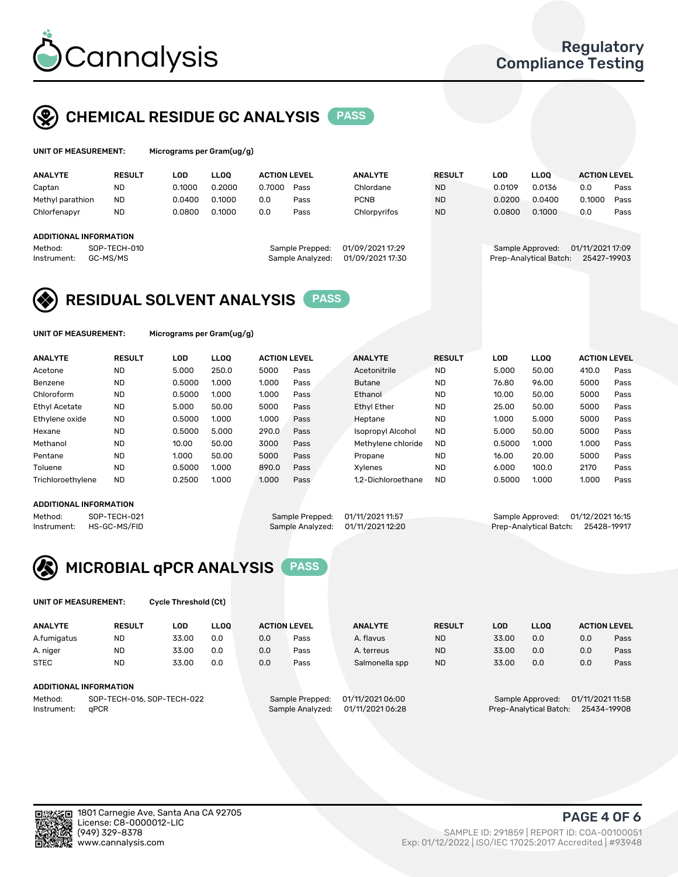

## CHEMICAL RESIDUE GC ANALYSIS PASS

| UNIT OF MEASUREMENT: | Microgra |
|----------------------|----------|
|                      |          |

ams per Gram(ug/g)

| <b>ANALYTE</b>                                   | <b>RESULT</b>            | LOD    | <b>LLOO</b> | <b>ACTION LEVEL</b> |                                     | <b>ANALYTE</b>                       | <b>RESULT</b> | LOD    | <b>LLOO</b>                                | <b>ACTION LEVEL</b>             |      |
|--------------------------------------------------|--------------------------|--------|-------------|---------------------|-------------------------------------|--------------------------------------|---------------|--------|--------------------------------------------|---------------------------------|------|
| Captan                                           | ND                       | 0.1000 | 0.2000      | 0.7000              | Pass                                | Chlordane                            | <b>ND</b>     | 0.0109 | 0.0136                                     | 0.0                             | Pass |
| Methyl parathion                                 | <b>ND</b>                | 0.0400 | 0.1000      | 0.0                 | Pass                                | <b>PCNB</b>                          | <b>ND</b>     | 0.0200 | 0.0400                                     | 0.1000                          | Pass |
| Chlorfenapyr                                     | <b>ND</b>                | 0.0800 | 0.1000      | 0.0                 | Pass                                | Chlorpyrifos                         | <b>ND</b>     | 0.0800 | 0.1000                                     | 0.0                             | Pass |
| ADDITIONAL INFORMATION<br>Method:<br>Instrument: | SOP-TECH-010<br>GC-MS/MS |        |             |                     | Sample Prepped:<br>Sample Analyzed: | 01/09/2021 17:29<br>01/09/2021 17:30 |               |        | Sample Approved:<br>Prep-Analytical Batch: | 01/11/2021 17:09<br>25427-19903 |      |

## RESIDUAL SOLVENT ANALYSIS PASS

UNIT OF MEASUREMENT: Micrograms per Gram(ug/g)

| <b>ANALYTE</b>    | <b>RESULT</b> | LOD    | <b>LLOO</b> | <b>ACTION LEVEL</b> |      | <b>ANALYTE</b>           | <b>RESULT</b> | LOD    | <b>LLOO</b> | <b>ACTION LEVEL</b> |      |
|-------------------|---------------|--------|-------------|---------------------|------|--------------------------|---------------|--------|-------------|---------------------|------|
| Acetone           | <b>ND</b>     | 5.000  | 250.0       | 5000                | Pass | Acetonitrile             | <b>ND</b>     | 5.000  | 50.00       | 410.0               | Pass |
| Benzene           | <b>ND</b>     | 0.5000 | 1.000       | 1.000               | Pass | <b>Butane</b>            | <b>ND</b>     | 76.80  | 96.00       | 5000                | Pass |
| Chloroform        | <b>ND</b>     | 0.5000 | 1.000       | 1.000               | Pass | Ethanol                  | <b>ND</b>     | 10.00  | 50.00       | 5000                | Pass |
| Ethyl Acetate     | <b>ND</b>     | 5.000  | 50.00       | 5000                | Pass | <b>Ethyl Ether</b>       | <b>ND</b>     | 25.00  | 50.00       | 5000                | Pass |
| Ethylene oxide    | <b>ND</b>     | 0.5000 | 1.000       | 1.000               | Pass | Heptane                  | <b>ND</b>     | 1.000  | 5.000       | 5000                | Pass |
| Hexane            | <b>ND</b>     | 0.5000 | 5.000       | 290.0               | Pass | <b>Isopropyl Alcohol</b> | <b>ND</b>     | 5.000  | 50.00       | 5000                | Pass |
| Methanol          | <b>ND</b>     | 10.00  | 50.00       | 3000                | Pass | Methylene chloride       | <b>ND</b>     | 0.5000 | 1.000       | 1.000               | Pass |
| Pentane           | <b>ND</b>     | 1.000  | 50.00       | 5000                | Pass | Propane                  | <b>ND</b>     | 16.00  | 20.00       | 5000                | Pass |
| Toluene           | <b>ND</b>     | 0.5000 | 1.000       | 890.0               | Pass | Xvlenes                  | <b>ND</b>     | 6.000  | 100.0       | 2170                | Pass |
| Trichloroethylene | <b>ND</b>     | 0.2500 | 1.000       | 1.000               | Pass | 1.2-Dichloroethane       | <b>ND</b>     | 0.5000 | 1.000       | 1.000               | Pass |

#### ADDITIONAL INFORMATION

Method: SOP-TECH-021 Sample Prepped: 01/11/2021 11:57 Sample Approved: 01/12/2021 16:15<br>Instrument: HS-GC-MS/FID Sample Analyzed: 01/11/2021 12:20 Prep-Analytical Batch: 25428-19917 Prep-Analytical Batch: 25428-19917



UNIT OF MEASUREMENT: Cycle Threshold (Ct)

| <b>ANALYTE</b> | <b>RESULT</b>                 | LOD   | <b>LLOO</b> |     | <b>ACTION LEVEL</b> | <b>ANALYTE</b>   | <b>RESULT</b> | <b>LOD</b> | <b>LLOO</b>      |                  | <b>ACTION LEVEL</b> |
|----------------|-------------------------------|-------|-------------|-----|---------------------|------------------|---------------|------------|------------------|------------------|---------------------|
| A.fumigatus    | <b>ND</b>                     | 33.00 | 0.0         | 0.0 | Pass                | A. flavus        | <b>ND</b>     | 33.00      | 0.0              | 0.0              | Pass                |
| A. niger       | <b>ND</b>                     | 33.00 | 0.0         | 0.0 | Pass                | A. terreus       | <b>ND</b>     | 33.00      | 0.0              | 0.0              | Pass                |
| <b>STEC</b>    | <b>ND</b>                     | 33.00 | 0.0         | 0.0 | Pass                | Salmonella spp   | <b>ND</b>     | 33.00      | 0.0              | 0.0              | Pass                |
|                | <b>ADDITIONAL INFORMATION</b> |       |             |     |                     |                  |               |            |                  |                  |                     |
| Method:        | SOP-TECH-016, SOP-TECH-022    |       |             |     | Sample Prepped:     | 01/11/2021 06:00 |               |            | Sample Approved: | 01/11/2021 11:58 |                     |

Instrument: qPCR Sample Analyzed: 01/11/2021 06:28 Prep-Analytical Batch: 25434-19908

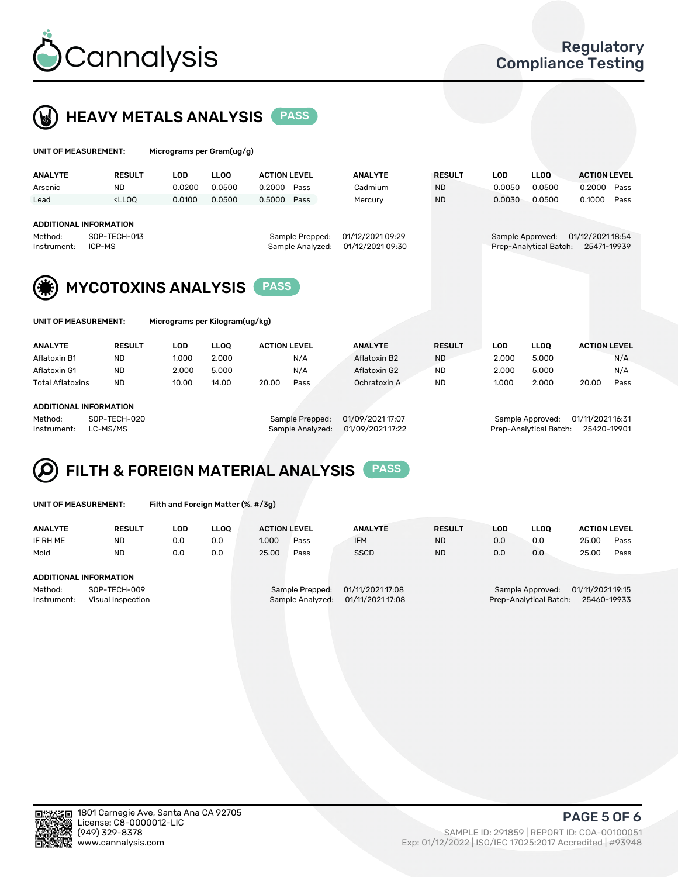

UNIT OF MEASUREMENT: Micrograms per Gram(ug/g)



| <b>ANALYTE</b>         | <b>RESULT</b>                                                                                                                                                           | <b>LOD</b>                     | <b>LLOO</b> | <b>ACTION LEVEL</b> |                                     | <b>ANALYTE</b>                       | <b>RESULT</b> | <b>LOD</b> | <b>LLOO</b>                                | <b>ACTION LEVEL</b>             |
|------------------------|-------------------------------------------------------------------------------------------------------------------------------------------------------------------------|--------------------------------|-------------|---------------------|-------------------------------------|--------------------------------------|---------------|------------|--------------------------------------------|---------------------------------|
| Arsenic                | <b>ND</b>                                                                                                                                                               | 0.0200                         | 0.0500      | 0.2000              | Pass                                | Cadmium                              | <b>ND</b>     | 0.0050     | 0.0500                                     | 0.2000<br>Pass                  |
| Lead                   | <lloq< td=""><td>0.0100</td><td>0.0500</td><td>0.5000</td><td>Pass</td><td>Mercury</td><td><b>ND</b></td><td>0.0030</td><td>0.0500</td><td>0.1000<br/>Pass</td></lloq<> | 0.0100                         | 0.0500      | 0.5000              | Pass                                | Mercury                              | <b>ND</b>     | 0.0030     | 0.0500                                     | 0.1000<br>Pass                  |
| Method:<br>Instrument: | <b>ADDITIONAL INFORMATION</b><br>SOP-TECH-013<br>ICP-MS                                                                                                                 |                                |             |                     | Sample Prepped:<br>Sample Analyzed: | 01/12/2021 09:29<br>01/12/2021 09:30 |               |            | Sample Approved:<br>Prep-Analytical Batch: | 01/12/2021 18:54<br>25471-19939 |
|                        | <b>MYCOTOXINS ANALYSIS</b>                                                                                                                                              |                                |             | <b>PASS</b>         |                                     |                                      |               |            |                                            |                                 |
| UNIT OF MEASUREMENT:   |                                                                                                                                                                         | Micrograms per Kilogram(ug/kg) |             |                     |                                     |                                      |               |            |                                            |                                 |
| <b>ANALYTE</b>         | <b>RESULT</b>                                                                                                                                                           | <b>LOD</b>                     | <b>LLOO</b> | <b>ACTION LEVEL</b> |                                     | <b>ANALYTE</b>                       | <b>RESULT</b> | <b>LOD</b> | <b>LLOO</b>                                | <b>ACTION LEVEL</b>             |

| Aflatoxin B1            | <b>ND</b>    | 1.000 | 2.000 |                 | N/A              | Aflatoxin B2 |  | <b>ND</b>        |  | 2.000            | 5.000 |       | N/A  |
|-------------------------|--------------|-------|-------|-----------------|------------------|--------------|--|------------------|--|------------------|-------|-------|------|
| Aflatoxin G1            | <b>ND</b>    | 2.000 | 5.000 |                 | N/A              | Aflatoxin G2 |  | ND               |  | 2.000            | 5.000 |       | N/A  |
| <b>Total Aflatoxins</b> | <b>ND</b>    | 10.00 | 14.00 | 20.00           | Pass             | Ochratoxin A |  | <b>ND</b>        |  | 1.000            | 2.000 | 20.00 | Pass |
|                         |              |       |       |                 |                  |              |  |                  |  |                  |       |       |      |
| ADDITIONAL INFORMATION  |              |       |       |                 |                  |              |  |                  |  |                  |       |       |      |
| Method:                 | SOP-TECH-020 |       |       | Sample Prepped: | 01/09/2021 17:07 |              |  | Sample Approved: |  | 01/11/2021 16:31 |       |       |      |

Instrument: LC-MS/MS Sample Analyzed: 01/09/2021 17:22 Prep-Analytical Batch: 25420-19901



UNIT OF MEASUREMENT: Filth and Foreign Matter (%, #/3g)

| <b>ANALYTE</b>                                              | <b>RESULT</b>          | LOD | <b>LLOO</b> | <b>ACTION LEVEL</b>                                                         |      | <b>ANALYTE</b> | <b>RESULT</b> | LOD                                                                           | <b>LLOO</b> | <b>ACTION LEVEL</b> |      |  |
|-------------------------------------------------------------|------------------------|-----|-------------|-----------------------------------------------------------------------------|------|----------------|---------------|-------------------------------------------------------------------------------|-------------|---------------------|------|--|
| IF RH ME                                                    | <b>ND</b>              | 0.0 | 0.0         | 1.000                                                                       | Pass | <b>IFM</b>     | <b>ND</b>     | 0.0                                                                           | 0.0         | 25.00               | Pass |  |
| Mold                                                        | <b>ND</b>              | 0.0 | 0.0         | 25.00                                                                       | Pass | <b>SSCD</b>    | <b>ND</b>     | 0.0                                                                           | 0.0         | 25.00               | Pass |  |
|                                                             | ADDITIONAL INFORMATION |     |             |                                                                             |      |                |               |                                                                               |             |                     |      |  |
| Method:<br>SOP-TECH-009<br>Instrument:<br>Visual Inspection |                        |     |             | 01/11/2021 17:08<br>Sample Prepped:<br>01/11/2021 17:08<br>Sample Analyzed: |      |                |               | 01/11/2021 19:15<br>Sample Approved:<br>Prep-Analytical Batch:<br>25460-19933 |             |                     |      |  |



PAGE 5 OF 6